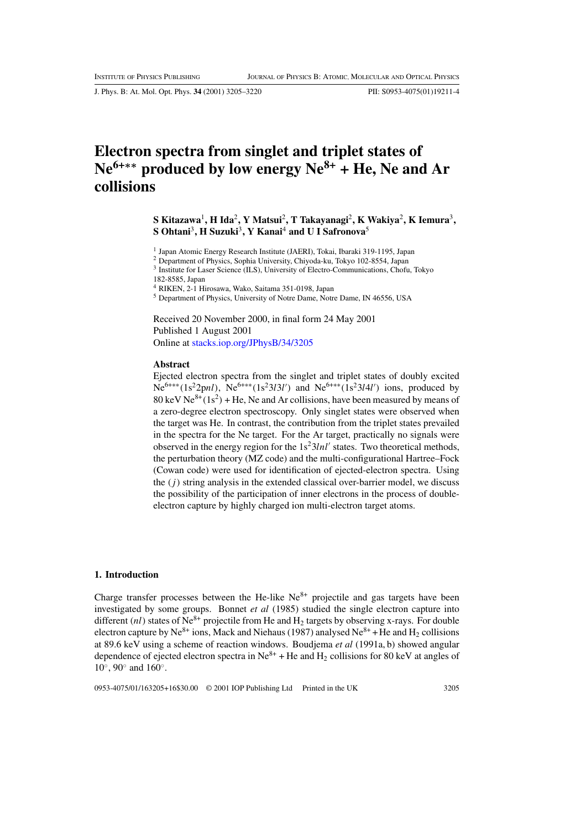J. Phys. B: At. Mol. Opt. Phys. **34** (2001) 3205–3220 PII: S0953-4075(01)19211-4

# **Electron spectra from singlet and triplet states of Ne6+***∗∗* **produced by low energy Ne8+ + He, Ne and Ar collisions**

**S Kitazawa**1**, H Ida**2**, Y Matsui**2**, T Takayanagi**2**, K Wakiya**2**, K Iemura**3**, S Ohtani**3**, H Suzuki**3**, Y Kanai**<sup>4</sup> **and U I Safronova**<sup>5</sup>

<sup>1</sup> Japan Atomic Energy Research Institute (JAERI), Tokai, Ibaraki 319-1195, Japan

<sup>2</sup> Department of Physics, Sophia University, Chiyoda-ku, Tokyo 102-8554, Japan

<sup>3</sup> Institute for Laser Science (ILS), University of Electro-Communications, Chofu, Tokyo

182-8585, Japan

<sup>4</sup> RIKEN, 2-1 Hirosawa, Wako, Saitama 351-0198, Japan

<sup>5</sup> Department of Physics, University of Notre Dame, Notre Dame, IN 46556, USA

Received 20 November 2000, in final form 24 May 2001 Published 1 August 2001 Online at [stacks.iop.org/JPhysB/34/3205](http://stacks.iop.org/jb/34/3205)

#### **Abstract**

Ejected electron spectra from the singlet and triplet states of doubly excited Ne<sup>6+\*\*</sup>(1s<sup>2</sup>2pnl), Ne<sup>6+\*\*</sup>(1s<sup>2</sup>3l3l') and Ne<sup>6+\*\*</sup>(1s<sup>2</sup>3l4l') ions, produced by 80 keV Ne<sup>8+</sup>(1s<sup>2</sup>) + He, Ne and Ar collisions, have been measured by means of a zero-degree electron spectroscopy. Only singlet states were observed when the target was He. In contrast, the contribution from the triplet states prevailed in the spectra for the Ne target. For the Ar target, practically no signals were observed in the energy region for the  $1s^23lnl'$  states. Two theoretical methods, the perturbation theory (MZ code) and the multi-configurational Hartree–Fock (Cowan code) were used for identification of ejected-electron spectra. Using the  $(j)$  string analysis in the extended classical over-barrier model, we discuss the possibility of the participation of inner electrons in the process of doubleelectron capture by highly charged ion multi-electron target atoms.

#### **1. Introduction**

Charge transfer processes between the He-like  $Ne^{8+}$  projectile and gas targets have been investigated by some groups. Bonnet *et al* (1985) studied the single electron capture into different (nl) states of Ne<sup>8+</sup> projectile from He and H<sub>2</sub> targets by observing x-rays. For double electron capture by Ne<sup>8+</sup> ions, Mack and Niehaus (1987) analysed Ne<sup>8+</sup> + He and H<sub>2</sub> collisions at 89.6 keV using a scheme of reaction windows. Boudjema *et al* (1991a, b) showed angular dependence of ejected electron spectra in Ne<sup>8+</sup> + He and H<sub>2</sub> collisions for 80 keV at angles of 10◦, 90◦ and 160◦.

0953-4075/01/163205+16\$30.00 © 2001 IOP Publishing Ltd Printed in the UK 3205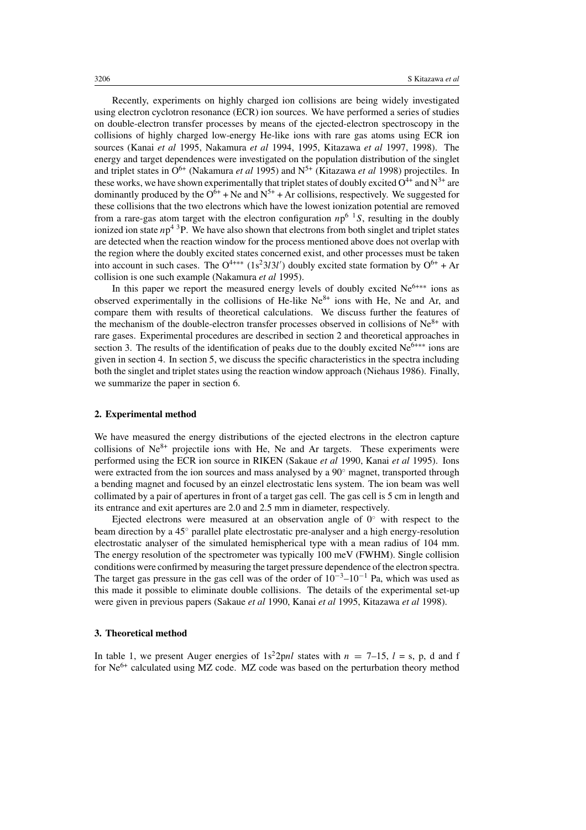Recently, experiments on highly charged ion collisions are being widely investigated using electron cyclotron resonance (ECR) ion sources. We have performed a series of studies on double-electron transfer processes by means of the ejected-electron spectroscopy in the collisions of highly charged low-energy He-like ions with rare gas atoms using ECR ion sources (Kanai *et al* 1995, Nakamura *et al* 1994, 1995, Kitazawa *et al* 1997, 1998). The energy and target dependences were investigated on the population distribution of the singlet and triplet states in  $O^{6+}$  (Nakamura *et al* 1995) and N<sup>5+</sup> (Kitazawa *et al* 1998) projectiles. In these works, we have shown experimentally that triplet states of doubly excited  $O^{4+}$  and  $N^{3+}$  are dominantly produced by the  $O^{6+}$  + Ne and  $N^{5+}$  + Ar collisions, respectively. We suggested for these collisions that the two electrons which have the lowest ionization potential are removed from a rare-gas atom target with the electron configuration  $np^{6}$  <sup>1</sup>S, resulting in the doubly ionized ion state  $np^4$ <sup>3</sup>P. We have also shown that electrons from both singlet and triplet states are detected when the reaction window for the process mentioned above does not overlap with the region where the doubly excited states concerned exist, and other processes must be taken into account in such cases. The O<sup>4+\*\*</sup> (1s<sup>2</sup>3l3l') doubly excited state formation by O<sup>6+</sup> + Ar collision is one such example (Nakamura *et al* 1995).

In this paper we report the measured energy levels of doubly excited  $Ne^{6***}$  ions as observed experimentally in the collisions of He-like  $Ne^{8+}$  ions with He, Ne and Ar, and compare them with results of theoretical calculations. We discuss further the features of the mechanism of the double-electron transfer processes observed in collisions of  $Ne<sup>8+</sup>$  with rare gases. Experimental procedures are described in section 2 and theoretical approaches in section 3. The results of the identification of peaks due to the doubly excited  $Ne^{6+\ast\ast}$  ions are given in section 4. In section 5, we discuss the specific characteristics in the spectra including both the singlet and triplet states using the reaction window approach (Niehaus 1986). Finally, we summarize the paper in section 6.

#### **2. Experimental method**

We have measured the energy distributions of the ejected electrons in the electron capture collisions of  $Ne^{8+}$  projectile ions with He, Ne and Ar targets. These experiments were performed using the ECR ion source in RIKEN (Sakaue *et al* 1990, Kanai *et al* 1995). Ions were extracted from the ion sources and mass analysed by a 90◦ magnet, transported through a bending magnet and focused by an einzel electrostatic lens system. The ion beam was well collimated by a pair of apertures in front of a target gas cell. The gas cell is 5 cm in length and its entrance and exit apertures are 2.0 and 2.5 mm in diameter, respectively.

Ejected electrons were measured at an observation angle of  $0°$  with respect to the beam direction by a 45◦ parallel plate electrostatic pre-analyser and a high energy-resolution electrostatic analyser of the simulated hemispherical type with a mean radius of 104 mm. The energy resolution of the spectrometer was typically 100 meV (FWHM). Single collision conditions were confirmed by measuring the target pressure dependence of the electron spectra. The target gas pressure in the gas cell was of the order of  $10^{-3}-10^{-1}$  Pa, which was used as this made it possible to eliminate double collisions. The details of the experimental set-up were given in previous papers (Sakaue *et al* 1990, Kanai *et al* 1995, Kitazawa *et al* 1998).

#### **3. Theoretical method**

In table 1, we present Auger energies of  $1s^22pnl$  states with  $n = 7-15$ ,  $l = s$ , p, d and f for  $Ne^{6+}$  calculated using MZ code. MZ code was based on the perturbation theory method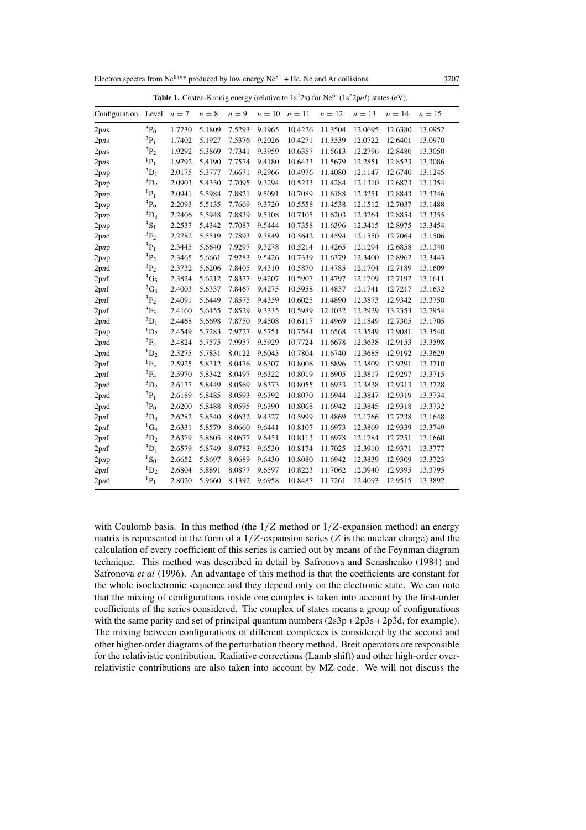Electron spectra from Ne<sup>6+∗∗</sup> produced by low energy Ne<sup>8+</sup> + He, Ne and Ar collisions 3207

| <b>Table 1.</b> Coster–Kromg energy (relative to 1s 2s) for type<br>$(1s 2pm)$ states $(ev)$ . |                      |        |        |         |                   |         |         |         |         |          |
|------------------------------------------------------------------------------------------------|----------------------|--------|--------|---------|-------------------|---------|---------|---------|---------|----------|
| Configuration                                                                                  | Level $n=7$          |        | $n=8$  | $n = 9$ | $n = 10$ $n = 11$ |         | $n=12$  | $n=13$  | $n=14$  | $n = 15$ |
| 2pns                                                                                           | $^{3}P_{0}$          | 1.7230 | 5.1809 | 7.5293  | 9.1965            | 10.4226 | 11.3504 | 12.0695 | 12.6380 | 13.0952  |
| 2pns                                                                                           | ${}^{3}P_1$          | 1.7402 | 5.1927 | 7.5376  | 9.2026            | 10.4271 | 11.3539 | 12.0722 | 12.6401 | 13.0970  |
| 2pns                                                                                           | ${}^3P_2$            | 1.9292 | 5.3869 | 7.7341  | 9.3959            | 10.6357 | 11.5613 | 12.2796 | 12.8480 | 13.3050  |
| 2pns                                                                                           | ${}^{1}P_1$          | 1.9792 | 5.4190 | 7.7574  | 9.4180            | 10.6433 | 11.5679 | 12.2851 | 12.8523 | 13.3086  |
| 2pnp                                                                                           | ${}^3D_1$            | 2.0175 | 5.3777 | 7.6671  | 9.2966            | 10.4976 | 11.4080 | 12.1147 | 12.6740 | 13.1245  |
| 2pnp                                                                                           | ${}^3D_2$            | 2.0903 | 5.4330 | 7.7095  | 9.3294            | 10.5233 | 11.4284 | 12.1310 | 12.6873 | 13.1354  |
| $2$ pnp                                                                                        | ${}^{1}P_1$          | 2.0941 | 5.5984 | 7.8821  | 9.5091            | 10.7089 | 11.6188 | 12.3251 | 12.8843 | 13.3346  |
| $2$ pnp                                                                                        | $^{3}P_0$            | 2.2093 | 5.5135 | 7.7669  | 9.3720            | 10.5558 | 11.4538 | 12.1512 | 12.7037 | 13.1488  |
| $2$ pnp                                                                                        | ${}^3D_3$            | 2.2406 | 5.5948 | 7.8839  | 9.5108            | 10.7105 | 11.6203 | 12.3264 | 12.8854 | 13.3355  |
| $2$ pnp                                                                                        | $^{3}S_{1}$          | 2.2537 | 5.4342 | 7.7087  | 9.5444            | 10.7358 | 11.6396 | 12.3415 | 12.8975 | 13.3454  |
| 2 <sub>pnd</sub>                                                                               | ${}^{3}F_{2}$        | 2.2782 | 5.5519 | 7.7893  | 9.3849            | 10.5642 | 11.4594 | 12.1550 | 12.7064 | 13.1506  |
| $2$ pnp                                                                                        | ${}^{3}P_1$          | 2.3445 | 5.6640 | 7.9297  | 9.3278            | 10.5214 | 11.4265 | 12.1294 | 12.6858 | 13.1340  |
| 2pnp                                                                                           | ${}^{3}P_{2}$        | 2.3465 | 5.6661 | 7.9283  | 9.5426            | 10.7339 | 11.6379 | 12.3400 | 12.8962 | 13.3443  |
| $2$ pnd                                                                                        | $^3\mathrm{P}_2$     | 2.3732 | 5.6206 | 7.8405  | 9.4310            | 10.5870 | 11.4785 | 12.1704 | 12.7189 | 13.1609  |
| 2 <sub>pnf</sub>                                                                               | ${}^3G_3$            | 2.3824 | 5.6212 | 7.8377  | 9.4207            | 10.5907 | 11.4797 | 12.1709 | 12.7192 | 13.1611  |
| 2 <sub>pnf</sub>                                                                               | ${}^3G_4$            | 2.4003 | 5.6337 | 7.8467  | 9.4275            | 10.5958 | 11.4837 | 12.1741 | 12.7217 | 13.1632  |
| 2pnf                                                                                           | ${}^3F_2$            | 2.4091 | 5.6449 | 7.8575  | 9.4359            | 10.6025 | 11.4890 | 12.3873 | 12.9342 | 13.3750  |
| 2pnf                                                                                           | ${}^3F_3$            | 2.4160 | 5.6455 | 7.8529  | 9.3335            | 10.5989 | 12.1032 | 12.2929 | 13.2353 | 12.7954  |
| 2 <sub>pnd</sub>                                                                               | ${}^3D_1$            | 2.4468 | 5.6698 | 7.8750  | 9.4508            | 10.6117 | 11.4969 | 12.1849 | 12.7305 | 13.1705  |
| $2$ pnp                                                                                        | ${}^1D_2$            | 2.4549 | 5.7283 | 7.9727  | 9.5751            | 10.7584 | 11.6568 | 12.3549 | 12.9081 | 13.3540  |
| 2pnd                                                                                           | $^3\mathrm{F}_4$     | 2.4824 | 5.7575 | 7.9957  | 9.5929            | 10.7724 | 11.6678 | 12.3638 | 12.9153 | 13.3598  |
| 2 <sub>pnd</sub>                                                                               | ${}^1D_2$            | 2.5275 | 5.7831 | 8.0122  | 9.6043            | 10.7804 | 11.6740 | 12.3685 | 12.9192 | 13.3629  |
| 2 <sub>pnf</sub>                                                                               | ${}^{1}F_3$          | 2.5925 | 5.8312 | 8.0476  | 9.6307            | 10.8006 | 11.6896 | 12.3809 | 12.9291 | 13.3710  |
| 2 <sub>pnf</sub>                                                                               | ${}^3F_4$            | 2.5970 | 5.8342 | 8.0497  | 9.6322            | 10.8019 | 11.6905 | 12.3817 | 12.9297 | 13.3715  |
| 2 <sub>pnd</sub>                                                                               | $^3\mathrm{D}_2$     | 2.6137 | 5.8449 | 8.0569  | 9.6373            | 10.8055 | 11.6933 | 12.3838 | 12.9313 | 13.3728  |
| 2 <sub>pnd</sub>                                                                               | ${}^3P_1$            | 2.6189 | 5.8485 | 8.0593  | 9.6392            | 10.8070 | 11.6944 | 12.3847 | 12.9319 | 13.3734  |
| 2 <sub>pnd</sub>                                                                               | $^3\mathrm{P}_0$     | 2.6200 | 5.8488 | 8.0595  | 9.6390            | 10.8068 | 11.6942 | 12.3845 | 12.9318 | 13.3732  |
| 2 <sub>pnf</sub>                                                                               | ${}^{3}D_3$          | 2.6282 | 5.8540 | 8.0632  | 9.4327            | 10.5999 | 11.4869 | 12.1766 | 12.7238 | 13.1648  |
| 2 <sub>pnf</sub>                                                                               | ${}^1G_4$            | 2.6331 | 5.8579 | 8.0660  | 9.6441            | 10.8107 | 11.6973 | 12.3869 | 12.9339 | 13.3749  |
| 2 <sub>pnf</sub>                                                                               | ${}^3D_2$            | 2.6379 | 5.8605 | 8.0677  | 9.6451            | 10.8113 | 11.6978 | 12.1784 | 12.7251 | 13.1660  |
| 2 <sub>pnf</sub>                                                                               | ${}^3D_1$            | 2.6579 | 5.8749 | 8.0782  | 9.6530            | 10.8174 | 11.7025 | 12.3910 | 12.9371 | 13.3777  |
| $2$ pnp                                                                                        | ${}^1S_0$            | 2.6652 | 5.8697 | 8.0689  | 9.6430            | 10.8080 | 11.6942 | 12.3839 | 12.9309 | 13.3723  |
| 2 <sub>pnf</sub>                                                                               | $\mathrm{^{1}D_{2}}$ | 2.6804 | 5.8891 | 8.0877  | 9.6597            | 10.8223 | 11.7062 | 12.3940 | 12.9395 | 13.3795  |
| 2 <sub>pnd</sub>                                                                               | $P_1$                | 2.8020 | 5.9660 | 8.1392  | 9.6958            | 10.8487 | 11.7261 | 12.4093 | 12.9515 | 13.3892  |

 $T_{\rm c}$  (relative to 1.22 september 1.22 points (eV).

with Coulomb basis. In this method (the  $1/Z$  method or  $1/Z$ -expansion method) an energy matrix is represented in the form of a  $1/Z$ -expansion series ( $Z$  is the nuclear charge) and the calculation of every coefficient of this series is carried out by means of the Feynman diagram technique. This method was described in detail by Safronova and Senashenko (1984) and Safronova *et al* (1996). An advantage of this method is that the coefficients are constant for the whole isoelectronic sequence and they depend only on the electronic state. We can note that the mixing of configurations inside one complex is taken into account by the first-order coefficients of the series considered. The complex of states means a group of configurations with the same parity and set of principal quantum numbers  $(2s3p + 2p3s + 2p3d)$ , for example). The mixing between configurations of different complexes is considered by the second and other higher-order diagrams of the perturbation theory method. Breit operators are responsible for the relativistic contribution. Radiative corrections (Lamb shift) and other high-order overrelativistic contributions are also taken into account by MZ code. We will not discuss the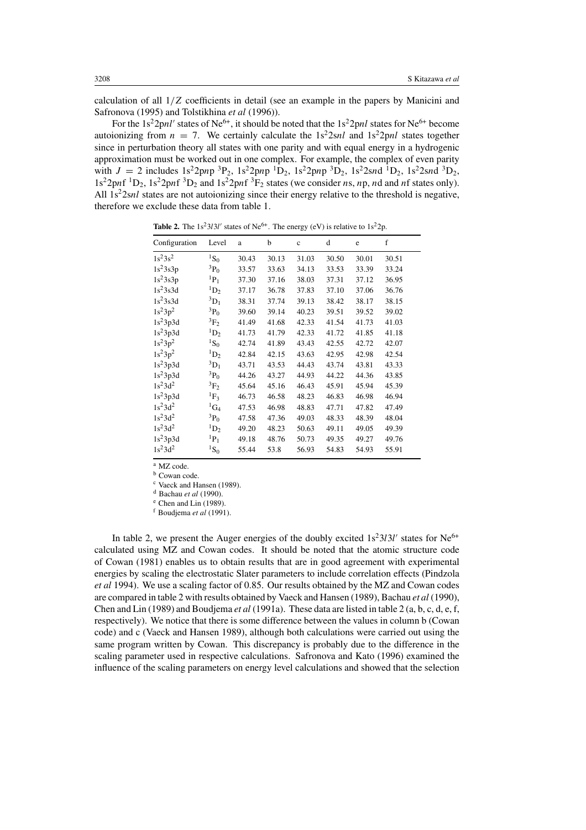calculation of all  $1/Z$  coefficients in detail (see an example in the papers by Manicini and Safronova (1995) and Tolstikhina *et al* (1996)).

For the 1s<sup>2</sup>2pnl' states of Ne<sup>6+</sup>, it should be noted that the 1s<sup>2</sup>2pnl states for Ne<sup>6+</sup> become autoionizing from  $n = 7$ . We certainly calculate the  $1s<sup>2</sup>2snl$  and  $1s<sup>2</sup>2pnl$  states together since in perturbation theory all states with one parity and with equal energy in a hydrogenic approximation must be worked out in one complex. For example, the complex of even parity with  $J = 2$  includes  $1s^2 2pnp^3P_2$ ,  $1s^2 2pnp^1D_2$ ,  $1s^2 2pnp^3D_2$ ,  $1s^2 2snd^1D_2$ ,  $1s^2 2snd^3D_2$ ,  $1s^2 2pnf^{-1}D_2$ ,  $1s^2 2pnf^{-3}D_2$  and  $1s^2 2pnf^{-3}F_2$  states (we consider *ns*, *np*, *nd* and *nf* states only). All  $1s<sup>2</sup>2snl$  states are not autoionizing since their energy relative to the threshold is negative, therefore we exclude these data from table 1.

Configuration Level a b c d e f  $1s^23s^2$  1S<sub>0</sub> 30.43 30.13 31.03 30.50 30.01 30.51  $1s^2$ 3s3p  ${}^{3}P_0$  33.57 33.63 34.13 33.53 33.39 33.24  $1s^2$ 3s3p  ${}^{1}P_1$  37.30 37.16 38.03 37.31 37.12 36.95  $1s^2$ 3s3d  ${}^{1}D_2$  37.17 36.78 37.83 37.10 37.06 36.76  $1s^2$ 3s3d  ${}^{3}D_1$  38.31 37.74 39.13 38.42 38.17 38.15  $1s^23p^2$   ${}^{3}P_0$   $39.60$   $39.14$   $40.23$   $39.51$   $39.52$   $39.02$  $1s^23p3d$   ${}^3F_2$  41.49 41.68 42.33 41.54 41.73 41.03  $1s^23p3d$   ${}^{1}D_2$   $41.73$   $41.79$   $42.33$   $41.72$   $41.85$   $41.18$  $1s^23p^2$  1S<sub>0</sub> 42.74 41.89 43.43 42.55 42.72 42.07  $1s^23p^2$  <sup>1</sup>D<sub>2</sub> 42.84 42.15 43.63 42.95 42.98 42.54  $1s^23p3d$   ${}^{3}D_1$   $43.71$   $43.53$   $44.43$   $43.74$   $43.81$   $43.33$  $1s^23p3d$   ${}^{3}P_0$   $44.26$   $43.27$   $44.93$   $44.22$   $44.36$   $43.85$  $1s^23d^2$   ${}^{3}F_2$   $45.64$   $45.16$   $46.43$   $45.91$   $45.94$   $45.39$  $1s^23p3d$   ${}^1F_3$  46.73 46.58 48.23 46.83 46.98 46.94  $1s^23d^2$  1G<sub>4</sub> 47.53 46.98 48.83 47.71 47.82 47.49  $1s^23d^2$   ${}^{3}P_0$  47.58 47.36 49.03 48.33 48.39 48.04  $1s^23d^2$  1D<sub>2</sub> 49.20 48.23 50.63 49.11 49.05 49.39  $1s^23p3d$   ${}^{1}P_1$  49.18 48.76 50.73 49.35 49.27 49.76  $1s^23d^2$  1S<sub>0</sub> 55.44 53.8 56.93 54.83 54.93 55.91

**Table 2.** The  $1s^23l3l'$  states of Ne<sup>6+</sup>. The energy (eV) is relative to  $1s^22p$ .

<sup>a</sup> MZ code.

<sup>b</sup> Cowan code. <sup>c</sup> Vaeck and Hansen (1989).

<sup>d</sup> Bachau *et al* (1990).

<sup>e</sup> Chen and Lin (1989).

<sup>f</sup> Boudjema *et al* (1991).

In table 2, we present the Auger energies of the doubly excited  $1s^23l3l'$  states for Ne<sup>6+</sup> calculated using MZ and Cowan codes. It should be noted that the atomic structure code of Cowan (1981) enables us to obtain results that are in good agreement with experimental energies by scaling the electrostatic Slater parameters to include correlation effects (Pindzola *et al* 1994). We use a scaling factor of 0.85. Our results obtained by the MZ and Cowan codes are compared in table 2 with results obtained by Vaeck and Hansen (1989), Bachau *et al* (1990), Chen and Lin (1989) and Boudjema *et al* (1991a). These data are listed in table 2 (a, b, c, d, e, f, respectively). We notice that there is some difference between the values in column b (Cowan code) and c (Vaeck and Hansen 1989), although both calculations were carried out using the same program written by Cowan. This discrepancy is probably due to the difference in the scaling parameter used in respective calculations. Safronova and Kato (1996) examined the influence of the scaling parameters on energy level calculations and showed that the selection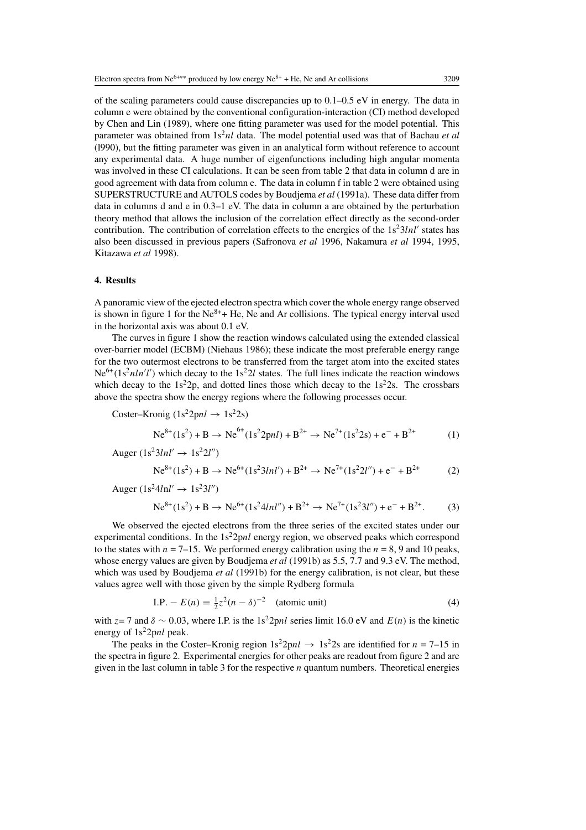of the scaling parameters could cause discrepancies up to  $0.1-0.5$  eV in energy. The data in column e were obtained by the conventional configuration-interaction (CI) method developed by Chen and Lin (1989), where one fitting parameter was used for the model potential. This parameter was obtained from  $1s^2nl$  data. The model potential used was that of Bachau *et al* (l990), but the fitting parameter was given in an analytical form without reference to account any experimental data. A huge number of eigenfunctions including high angular momenta was involved in these CI calculations. It can be seen from table 2 that data in column d are in good agreement with data from column e. The data in column f in table 2 were obtained using SUPERSTRUCTURE and AUTOLS codes by Boudjema *et al* (1991a). These data differ from data in columns d and e in 0.3–1 eV. The data in column a are obtained by the perturbation theory method that allows the inclusion of the correlation effect directly as the second-order contribution. The contribution of correlation effects to the energies of the  $1s^23lnl'$  states has also been discussed in previous papers (Safronova *et al* 1996, Nakamura *et al* 1994, 1995, Kitazawa *et al* 1998).

#### **4. Results**

A panoramic view of the ejected electron spectra which cover the whole energy range observed is shown in figure 1 for the  $Ne^{8+}$  + He, Ne and Ar collisions. The typical energy interval used in the horizontal axis was about 0.1 eV.

The curves in figure 1 show the reaction windows calculated using the extended classical over-barrier model (ECBM) (Niehaus 1986); these indicate the most preferable energy range for the two outermost electrons to be transferred from the target atom into the excited states  $Ne<sup>6+</sup>(1s<sup>2</sup>nln'l')$  which decay to the 1s<sup>2</sup>2l states. The full lines indicate the reaction windows which decay to the  $1s^2 2p$ , and dotted lines those which decay to the  $1s^2 2s$ . The crossbars above the spectra show the energy regions where the following processes occur.

$$
Coster-Kronig (1s22pnl → 1s22s)
$$
  
Ne<sup>8+</sup>(1s<sup>2</sup>) + B → Ne<sup>6+</sup>(1s<sup>2</sup>2pnl) + B<sup>2+</sup> → Ne<sup>7+</sup>(1s<sup>2</sup>2s) + e<sup>-</sup> + B<sup>2+</sup> (1)

Auger (1s23lnl- <sup>→</sup> 1s22<sup>l</sup> --) Ne8+(1s<sup>2</sup> ) + B <sup>→</sup> Ne6+(1s<sup>2</sup> 3lnl-) + B2+ <sup>→</sup> Ne7+(1s<sup>2</sup> 2l --) + e<sup>−</sup> + B2+ (2) Auger (1s24lnl - <sup>→</sup> 1s23<sup>l</sup> --)

$$
Ne^{8+}(1s^2) + B \to Ne^{6+}(1s^24lnl'') + B^{2+} \to Ne^{7+}(1s^23l'') + e^- + B^{2+}.
$$
 (3)

We observed the ejected electrons from the three series of the excited states under our experimental conditions. In the  $1s^22pnl$  energy region, we observed peaks which correspond to the states with  $n = 7-15$ . We performed energy calibration using the  $n = 8, 9$  and 10 peaks, whose energy values are given by Boudjema *et al* (1991b) as 5.5, 7.7 and 9.3 eV. The method, which was used by Boudjema *et al* (1991b) for the energy calibration, is not clear, but these values agree well with those given by the simple Rydberg formula

I.P. – 
$$
E(n) = \frac{1}{2}z^2(n - \delta)^{-2}
$$
 (atomic unit) (4)

with  $z=7$  and  $\delta \sim 0.03$ , where I.P. is the 1s<sup>2</sup>2pnl series limit 16.0 eV and  $E(n)$  is the kinetic energy of  $1s^22pnl$  peak.

The peaks in the Coster–Kronig region  $1s^2 2pnl \rightarrow 1s^2 2s$  are identified for  $n = 7-15$  in the spectra in figure 2. Experimental energies for other peaks are readout from figure 2 and are given in the last column in table 3 for the respective  $n$  quantum numbers. Theoretical energies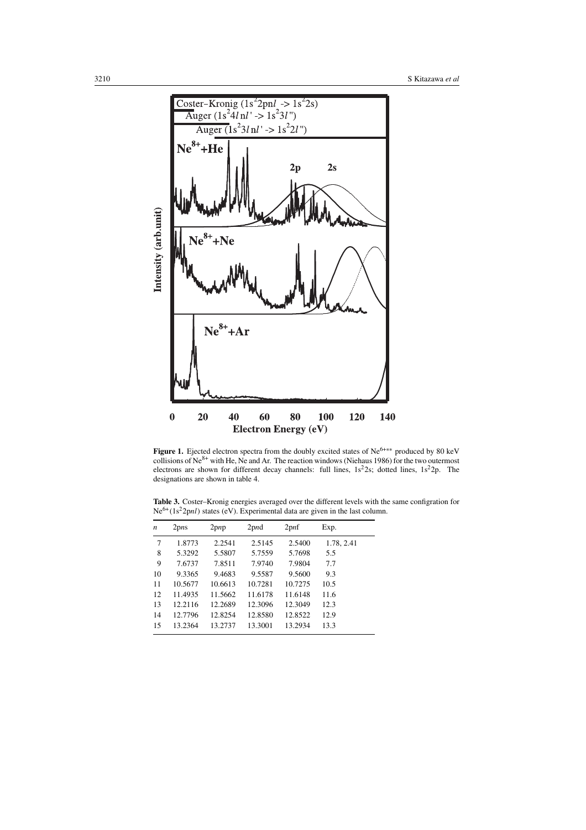

Figure 1. Ejected electron spectra from the doubly excited states of Ne<sup>6+∗∗</sup> produced by 80 keV collisions of  $Ne^{8+}$  with He, Ne and Ar. The reaction windows (Niehaus 1986) for the two outermost electrons are shown for different decay channels: full lines,  $1s^22s$ ; dotted lines,  $1s^22p$ . The designations are shown in table 4.

**Table 3.** Coster–Kronig energies averaged over the different levels with the same configration for  $Ne^{6+}(1s^22pnl)$  states (eV). Experimental data are given in the last column.

| n  | 2pns    | $2$ pnp | 2 <sub>pmd</sub> | 2 <sub>pnf</sub> | Exp.       |
|----|---------|---------|------------------|------------------|------------|
| 7  | 1.8773  | 2.2541  | 2.5145           | 2.5400           | 1.78, 2.41 |
| 8  | 5.3292  | 5.5807  | 5.7559           | 5.7698           | 5.5        |
| 9  | 7.6737  | 7.8511  | 7.9740           | 7.9804           | 7.7        |
| 10 | 9.3365  | 9.4683  | 9.5587           | 9.5600           | 9.3        |
| 11 | 10.5677 | 10.6613 | 10.7281          | 10.7275          | 10.5       |
| 12 | 11.4935 | 11.5662 | 11.6178          | 11.6148          | 11.6       |
| 13 | 12.2116 | 12.2689 | 12.3096          | 12.3049          | 12.3       |
| 14 | 12.7796 | 12.8254 | 12.8580          | 12.8522          | 12.9       |
| 15 | 13.2364 | 13.2737 | 13.3001          | 13.2934          | 13.3       |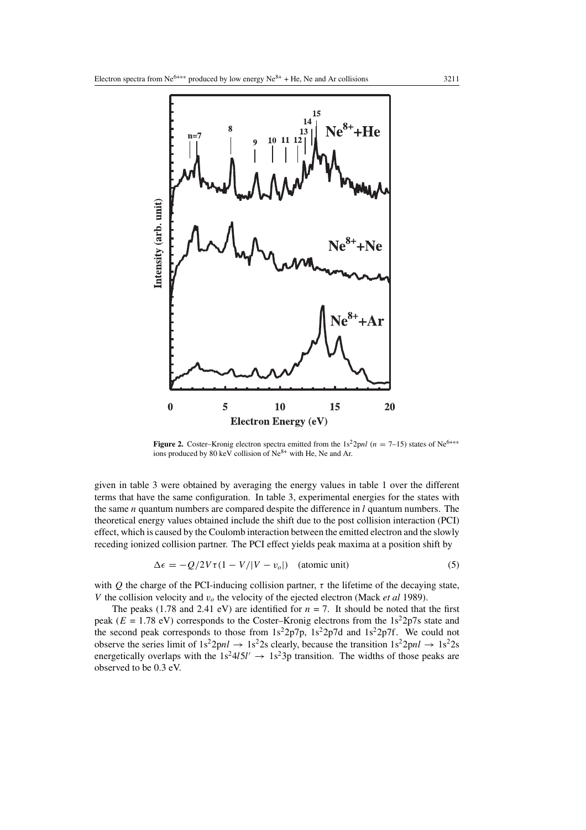

**Figure 2.** Coster–Kronig electron spectra emitted from the  $1s^2 2pnl$  ( $n = 7-15$ ) states of Ne<sup>6+∗∗</sup> ions produced by 80 keV collision of Ne<sup>8+</sup> with He, Ne and Ar.

given in table 3 were obtained by averaging the energy values in table 1 over the different terms that have the same configuration. In table 3, experimental energies for the states with the same *n* quantum numbers are compared despite the difference in  $l$  quantum numbers. The theoretical energy values obtained include the shift due to the post collision interaction (PCI) effect, which is caused by the Coulomb interaction between the emitted electron and the slowly receding ionized collision partner. The PCI effect yields peak maxima at a position shift by

$$
\Delta \epsilon = -Q/2V\tau (1 - V/|V - v_o|) \quad \text{(atomic unit)} \tag{5}
$$

with Q the charge of the PCI-inducing collision partner,  $\tau$  the lifetime of the decaying state, V the collision velocity and  $v<sub>o</sub>$  the velocity of the ejected electron (Mack *et al* 1989).

The peaks (1.78 and 2.41 eV) are identified for  $n = 7$ . It should be noted that the first peak ( $E = 1.78$  eV) corresponds to the Coster–Kronig electrons from the 1s<sup>2</sup>2p7s state and the second peak corresponds to those from  $1s^22p7p$ ,  $1s^22p7d$  and  $1s^22p7f$ . We could not observe the series limit of  $1s^22pnl \rightarrow 1s^22s$  clearly, because the transition  $1s^22pnl \rightarrow 1s^22s$ energetically overlaps with the  $1s^24l5l' \rightarrow 1s^23p$  transition. The widths of those peaks are observed to be 0.3 eV.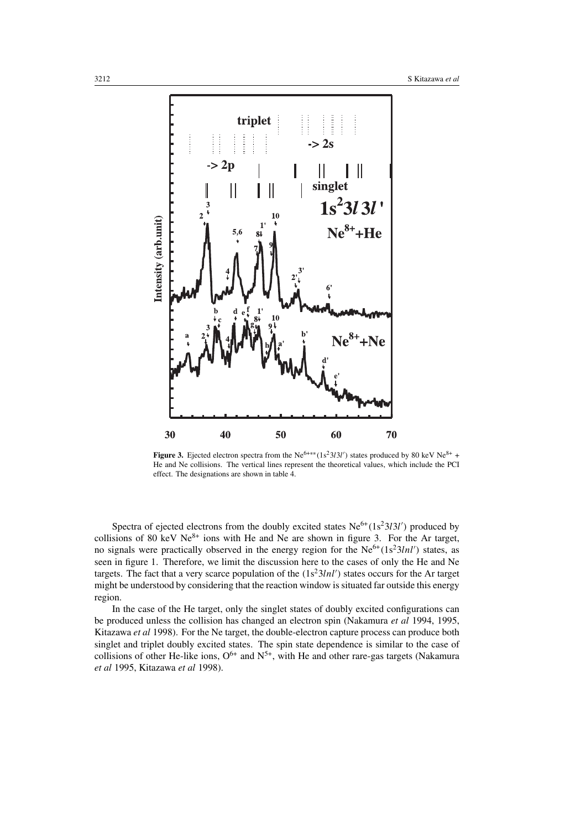

**Figure 3.** Ejected electron spectra from the Ne<sup>6+\*\*</sup>(1s<sup>2</sup>3l3l') states produced by 80 keV Ne<sup>8+</sup> + He and Ne collisions. The vertical lines represent the theoretical values, which include the PCI effect. The designations are shown in table 4.

Spectra of ejected electrons from the doubly excited states  $Ne^{6+}(1s^23l3l')$  produced by collisions of 80 keV  $Ne^{8+}$  ions with He and Ne are shown in figure 3. For the Ar target, no signals were practically observed in the energy region for the  $Ne^{6+}(1s^23lnl')$  states, as seen in figure 1. Therefore, we limit the discussion here to the cases of only the He and Ne targets. The fact that a very scarce population of the  $(1s<sup>2</sup>3lnl')$  states occurs for the Ar target might be understood by considering that the reaction window is situated far outside this energy region.

In the case of the He target, only the singlet states of doubly excited configurations can be produced unless the collision has changed an electron spin (Nakamura *et al* 1994, 1995, Kitazawa *et al* 1998). For the Ne target, the double-electron capture process can produce both singlet and triplet doubly excited states. The spin state dependence is similar to the case of collisions of other He-like ions,  $O^{6+}$  and  $N^{5+}$ , with He and other rare-gas targets (Nakamura *et al* 1995, Kitazawa *et al* 1998).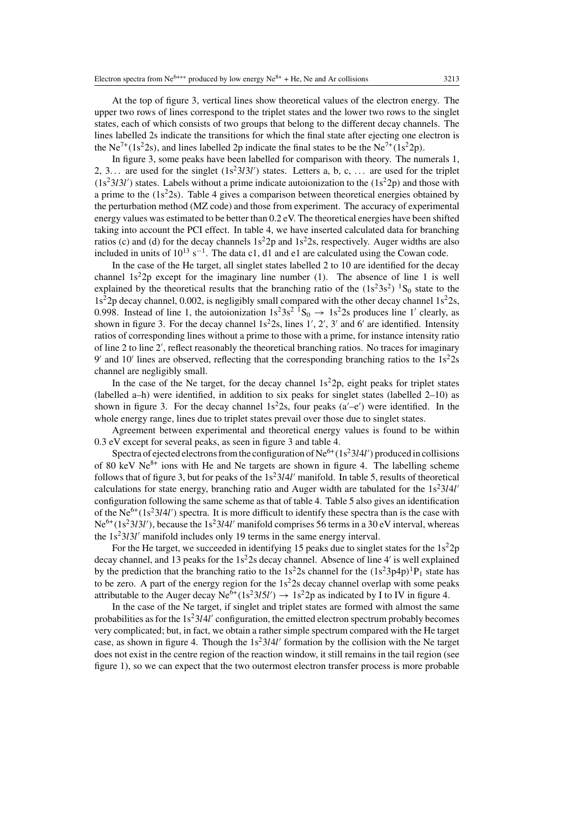In figure 3, some peaks have been labelled for comparison with theory. The numerals 1, 2, 3... are used for the singlet  $(1s^23l3l')$  states. Letters a, b, c, ... are used for the triplet  $(1s<sup>2</sup>3l3l')$  states. Labels without a prime indicate autoionization to the  $(1s<sup>2</sup>2p)$  and those with a prime to the  $(1s<sup>2</sup>2s)$ . Table 4 gives a comparison between theoretical energies obtained by the perturbation method (MZ code) and those from experiment. The accuracy of experimental energy values was estimated to be better than 0.2 eV. The theoretical energies have been shifted taking into account the PCI effect. In table 4, we have inserted calculated data for branching ratios (c) and (d) for the decay channels  $1s^22p$  and  $1s^22s$ , respectively. Auger widths are also included in units of  $10^{13}$  s<sup>-1</sup>. The data c1, d1 and e1 are calculated using the Cowan code.

In the case of the He target, all singlet states labelled 2 to 10 are identified for the decay channel  $1s^22p$  except for the imaginary line number (1). The absence of line 1 is well explained by the theoretical results that the branching ratio of the  $(1s<sup>2</sup>3s<sup>2</sup>)<sup>-1</sup>S<sub>0</sub>$  state to the  $1s<sup>2</sup>2p$  decay channel, 0.002, is negligibly small compared with the other decay channel  $1s<sup>2</sup>2s$ , 0.998. Instead of line 1, the autoionization  $1s^23s^2$   ${}^1S_0 \rightarrow 1s^22s$  produces line 1' clearly, as shown in figure 3. For the decay channel  $1s<sup>2</sup>2s$ , lines  $1', 2', 3'$  and  $6'$  are identified. Intensity ratios of corresponding lines without a prime to those with a prime, for instance intensity ratio of line 2 to line 2', reflect reasonably the theoretical branching ratios. No traces for imaginary  $9'$  and  $10'$  lines are observed, reflecting that the corresponding branching ratios to the  $1s<sup>2</sup>2s$ channel are negligibly small.

In the case of the Ne target, for the decay channel  $1s^22p$ , eight peaks for triplet states (labelled a–h) were identified, in addition to six peaks for singlet states (labelled 2–10) as shown in figure 3. For the decay channel  $1s<sup>2</sup>2s$ , four peaks  $(a'-e')$  were identified. In the whole energy range, lines due to triplet states prevail over those due to singlet states.

Agreement between experimental and theoretical energy values is found to be within 0.3 eV except for several peaks, as seen in figure 3 and table 4.

Spectra of ejected electrons from the configuration of  $\mathrm{Ne}^{6+}(1\mathrm{s}^2\mathrm{314}l')$  produced in collisions of 80 keV  $Ne^{8+}$  ions with He and Ne targets are shown in figure 4. The labelling scheme follows that of figure 3, but for peaks of the  $1s<sup>2</sup>3l4l'$  manifold. In table 5, results of theoretical calculations for state energy, branching ratio and Auger width are tabulated for the  $1s<sup>2</sup>3l4l'$ configuration following the same scheme as that of table 4. Table 5 also gives an identification of the  $Ne^{6+}(1s^23l4l')$  spectra. It is more difficult to identify these spectra than is the case with  $Ne^{6+}(1s^23l3l')$ , because the  $1s^23l4l'$  manifold comprises 56 terms in a 30 eV interval, whereas the  $1s<sup>2</sup>3l3l'$  manifold includes only 19 terms in the same energy interval.

For the He target, we succeeded in identifying 15 peaks due to singlet states for the  $1s^22p$ decay channel, and 13 peaks for the  $1s<sup>2</sup>2s$  decay channel. Absence of line 4' is well explained by the prediction that the branching ratio to the  $1s^22s$  channel for the  $(1s^23p4p)^1P_1$  state has to be zero. A part of the energy region for the  $1s<sup>2</sup>2s$  decay channel overlap with some peaks attributable to the Auger decay  $Ne^{6+}(1s^23l5l') \rightarrow 1s^22p$  as indicated by I to IV in figure 4.

In the case of the Ne target, if singlet and triplet states are formed with almost the same probabilities as for the  $1s<sup>2</sup>3l4l'$  configuration, the emitted electron spectrum probably becomes very complicated; but, in fact, we obtain a rather simple spectrum compared with the He target case, as shown in figure 4. Though the  $1s<sup>2</sup>3l4l'$  formation by the collision with the Ne target does not exist in the centre region of the reaction window, it still remains in the tail region (see figure 1), so we can expect that the two outermost electron transfer process is more probable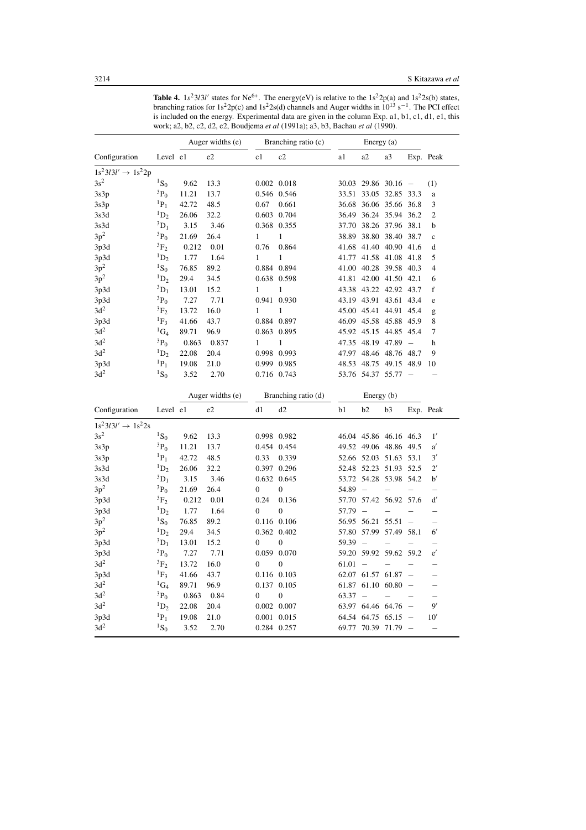|                                |                           |                  |                  |                     | work; a2, b2, c2, d2, e2, Boudjema et al (1991a); a3, b3, Bachau et al (1990). |            |                          |                        |                          |                          |
|--------------------------------|---------------------------|------------------|------------------|---------------------|--------------------------------------------------------------------------------|------------|--------------------------|------------------------|--------------------------|--------------------------|
|                                |                           | Auger widths (e) |                  | Branching ratio (c) |                                                                                | Energy (a) |                          |                        |                          |                          |
| Configuration                  | Level e1                  |                  | e2               | c1                  | c2                                                                             | a1         | a2                       | a3                     |                          | Exp. Peak                |
| $1s^23l3l' \rightarrow 1s^22p$ |                           |                  |                  |                     |                                                                                |            |                          |                        |                          |                          |
| $3s^2$                         | ${}^{1}S_0$               | 9.62             | 13.3             |                     | 0.002 0.018                                                                    |            | 30.03 29.86 30.16        |                        | $\overline{\phantom{a}}$ | (1)                      |
| 3s3p                           | $^{3}P_{0}$               | 11.21            | 13.7             |                     | 0.546 0.546                                                                    | 33.51      |                          | 33.05 32.85            | 33.3                     | a                        |
| 3s3p                           | ${}^{1}P_1$               | 42.72            | 48.5             | 0.67                | 0.661                                                                          | 36.68      |                          | 36.06 35.66 36.8       |                          | 3                        |
| 3s3d                           | $\mathrm{^{1}D_{2}}$      | 26.06            | 32.2             |                     | 0.603 0.704                                                                    | 36.49      | 36.24                    | 35.94                  | 36.2                     | $\mathfrak{2}$           |
| 3s3d                           | ${}^3D_1$                 | 3.15             | 3.46             |                     | 0.368 0.355                                                                    | 37.70      |                          | 38.26 37.96 38.1       |                          | b                        |
| $3p^2$                         | $^{3}P_0$                 | 21.69            | 26.4             | 1                   | $\mathbf{1}$                                                                   | 38.89      |                          | 38.80 38.40            | 38.7                     | $\mathbf c$              |
| 3p3d                           | $\mathrm{^{3}F_{2}}$      | 0.212            | 0.01             | 0.76                | 0.864                                                                          | 41.68      |                          | 41.40 40.90 41.6       |                          | d                        |
| 3p3d                           | $\mathrm{^{1}D_{2}}$      | 1.77             | 1.64             | 1                   | $\mathbf{1}$                                                                   | 41.77      |                          | 41.58 41.08            | 41.8                     | 5                        |
| $3p^2$                         | ${}^{1}S_{0}$             | 76.85            | 89.2             |                     | 0.884 0.894                                                                    | 41.00      |                          | 40.28 39.58 40.3       |                          | 4                        |
| $3p^2$                         | $\mathrm{^{1}D_{2}}$      | 29.4             | 34.5             |                     | 0.638 0.598                                                                    | 41.81      |                          | 42.00 41.50            | 42.1                     | 6                        |
| 3p3d                           | ${}^3D_1$                 | 13.01            | 15.2             | 1                   | $\mathbf{1}$                                                                   |            |                          | 43.38 43.22 42.92 43.7 |                          | f                        |
| 3p3d                           | $3P_0$                    | 7.27             | 7.71             |                     | 0.941 0.930                                                                    |            |                          | 43.19 43.91 43.61      | 43.4                     | e                        |
| $3d^2$                         | ${}^3F_2$                 | 13.72            | 16.0             | 1                   | $\mathbf{1}$                                                                   |            |                          | 45.00 45.41 44.91      | 45.4                     | g                        |
| 3p3d                           | ${}^{1}F_3$               | 41.66            | 43.7             |                     | 0.884 0.897                                                                    |            |                          | 46.09 45.58 45.88      | 45.9                     | 8                        |
| 3d <sup>2</sup>                | ${}^1G_4$                 | 89.71            | 96.9             |                     | 0.863 0.895                                                                    |            | 45.92 45.15 44.85        |                        | 45.4                     | 7                        |
| 3d <sup>2</sup>                | $^{3}P_{0}$               | 0.863            | 0.837            | 1                   | $\mathbf{1}$                                                                   |            | 47.35 48.19 47.89        |                        | $\overline{\phantom{a}}$ | h                        |
| 3d <sup>2</sup>                | ${}^1D_2$                 | 22.08            | 20.4             |                     | 0.998 0.993                                                                    | 47.97      |                          | 48.46 48.76            | 48.7                     | 9                        |
| 3p3d                           | ${}^{1}P_1$               | 19.08            | 21.0             |                     | 0.999 0.985                                                                    | 48.53      |                          | 48.75 49.15            | 48.9                     | 10                       |
| $3d^2$                         | ${}^{1}S_0$               | 3.52             | 2.70             |                     | 0.716 0.743                                                                    |            | 53.76 54.37 55.77        |                        |                          |                          |
|                                |                           |                  | Auger widths (e) |                     | Branching ratio (d)                                                            |            | Energy (b)               |                        |                          |                          |
| Configuration                  | Level e1                  |                  | e2               | d1                  | d2                                                                             | b1         | b <sub>2</sub>           | b3                     |                          | Exp. Peak                |
| $1s^23l3l' \rightarrow 1s^22s$ |                           |                  |                  |                     |                                                                                |            |                          |                        |                          |                          |
| $3s^2$                         | ${}^{1}S_0$               | 9.62             | 13.3             |                     | 0.998 0.982                                                                    |            |                          | 46.04 45.86 46.16 46.3 |                          | 1'                       |
| 3s3p                           | ${}^3P_0$                 | 11.21            | 13.7             |                     | 0.454 0.454                                                                    |            |                          | 49.52 49.06 48.86      | 49.5                     | a'                       |
| 3s3p                           | $P_1$                     | 42.72            | 48.5             | 0.33                | 0.339                                                                          |            |                          | 52.66 52.03 51.63 53.1 |                          | 3'                       |
| 3s3d                           | $\mathrm{^{1}D_{2}}$      | 26.06            | 32.2             |                     | 0.397 0.296                                                                    | 52.48      | 52.23 51.93              |                        | 52.5                     | $2^{\prime}$             |
| 3s3d                           | ${}^3D_1$                 | 3.15             | 3.46             |                     | 0.632 0.645                                                                    |            |                          | 53.72 54.28 53.98 54.2 |                          | $\mathbf{b}'$            |
| $3p^2$                         | $^{3}P_0$                 | 21.69            | 26.4             | $\boldsymbol{0}$    | $\overline{0}$                                                                 | 54.89      |                          |                        |                          |                          |
| 3p3d                           | $\mathrm{^{3}F_{2}}$      | 0.212            | 0.01             | 0.24                | 0.136                                                                          |            |                          | 57.70 57.42 56.92      | 57.6                     | d'                       |
| 3p3d                           | $\mathrm{^{1}D_{2}}$      | 1.77             | 1.64             | $\overline{0}$      | $\boldsymbol{0}$                                                               | 57.79      | $\overline{\phantom{a}}$ |                        |                          |                          |
| $3\mathrm{p}^2$                | ${}^{1}S_0$               | 76.85            | 89.2             |                     | 0.116 0.106                                                                    |            | 56.95 56.21 55.51        |                        | $\overline{\phantom{a}}$ | $\overline{\phantom{0}}$ |
| $3p^2$                         | ${}^{1}D_2$               | 29.4             | 34.5             |                     | 0.362 0.402                                                                    | 57.80      | 57.99                    | 57.49                  | 58.1                     | $6^{\prime}$             |
| 3p3d                           | ${}^3D_1$                 | 13.01            | 15.2             | 0                   | 0                                                                              | 59.39      |                          |                        |                          |                          |
| 3p3d                           | $^{3}P_0$                 | 7.27             | 7.71             |                     | 0.059 0.070                                                                    | 59.20      |                          | 59.92 59.62 59.2       |                          | e'                       |
| 3d <sup>2</sup>                | $\mathrm{^{3}F_{2}}$      | 13.72            | 16.0             | $\overline{0}$      | $\overline{0}$                                                                 | 61.01      |                          |                        |                          |                          |
| 3p3d                           | ${}^{1}F_3$               | 41.66            | 43.7             |                     | 0.116 0.103                                                                    |            | 62.07 61.57 61.87        |                        |                          |                          |
| 3d <sup>2</sup>                | ${}^1G_4$                 | 89.71            | 96.9             |                     | 0.137 0.105                                                                    | 61.87      |                          | 61.10 60.80            |                          |                          |
| $3d^2$                         | $^3\mathrm{P}_0$          | 0.863            | 0.84             | 0                   | $\boldsymbol{0}$                                                               | 63.37      | $\equiv$                 |                        |                          | $\overline{\phantom{0}}$ |
| $3d^2$                         | $\mathrm{^{1}D_{2}}$      | 22.08            |                  |                     |                                                                                |            | 63.97 64.46 64.76        |                        |                          | 9'                       |
|                                |                           | 19.08            | 20.4             |                     | 0.002 0.007                                                                    |            |                          |                        | $\overline{\phantom{a}}$ |                          |
| 3p3d<br>3d <sup>2</sup>        | $P_1$<br>$^1\mathrm{S}_0$ |                  | 21.0             |                     | 0.001 0.015                                                                    |            | 64.54 64.75 65.15        |                        |                          | 10'                      |
|                                |                           | 3.52             | 2.70             |                     | 0.284 0.257                                                                    |            | 69.77 70.39 71.79        |                        |                          |                          |

**Table 4.**  $1s^23l^3l'$  states for Ne<sup>6+</sup>. The energy(eV) is relative to the  $1s^22p(a)$  and  $1s^22s(b)$  states, branching ratios for 1s<sup>2</sup>2p(c) and 1s<sup>2</sup>2s(d) channels and Auger widths in 10<sup>13</sup> s<sup>-1</sup>. The PCI effect is included on the energy. Experimental data are given in the column Exp. a1, b1, c1, d1, e1, this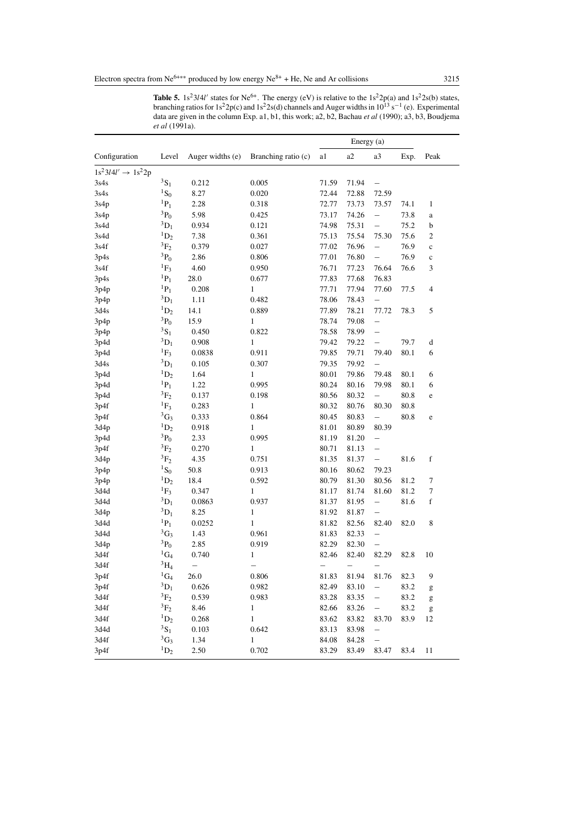|                                |                      |                          |                     |                          | Energy (a)               |                          |      |                                                                                                                                                                                                                                                                                                                                                                                                                                |
|--------------------------------|----------------------|--------------------------|---------------------|--------------------------|--------------------------|--------------------------|------|--------------------------------------------------------------------------------------------------------------------------------------------------------------------------------------------------------------------------------------------------------------------------------------------------------------------------------------------------------------------------------------------------------------------------------|
| Configuration                  | Level                | Auger widths (e)         | Branching ratio (c) | a1                       | a2                       | a3                       | Exp. | Peak                                                                                                                                                                                                                                                                                                                                                                                                                           |
| $1s^23l4l' \rightarrow 1s^22p$ |                      |                          |                     |                          |                          |                          |      |                                                                                                                                                                                                                                                                                                                                                                                                                                |
| 3s4s                           | ${}^3S_1$            | 0.212                    | 0.005               | 71.59                    | 71.94                    | $\qquad \qquad -$        |      |                                                                                                                                                                                                                                                                                                                                                                                                                                |
| 3s4s                           | ${}^{1}S_{0}$        | 8.27                     | 0.020               | 72.44                    | 72.88                    | 72.59                    |      |                                                                                                                                                                                                                                                                                                                                                                                                                                |
| 3s4p                           | ${}^{1}P_1$          | 2.28                     | 0.318               | 72.77                    | 73.73                    | 73.57                    | 74.1 | 1                                                                                                                                                                                                                                                                                                                                                                                                                              |
| 3s4p                           | $^{3}P_0$            | 5.98                     | 0.425               | 73.17                    | 74.26                    | $\qquad \qquad -$        | 73.8 | a                                                                                                                                                                                                                                                                                                                                                                                                                              |
| 3s4d                           | ${}^3D_1$            | 0.934                    | 0.121               | 74.98                    | 75.31                    | $\overline{\phantom{0}}$ | 75.2 | b                                                                                                                                                                                                                                                                                                                                                                                                                              |
| 3s4d                           | ${}^1D_2$            | 7.38                     | 0.361               | 75.13                    | 75.54                    | 75.30                    | 75.6 | $\overline{c}$                                                                                                                                                                                                                                                                                                                                                                                                                 |
| 3s4f                           | $^3\mathrm{F}_2$     | 0.379                    | 0.027               | 77.02                    | 76.96                    | $\qquad \qquad -$        | 76.9 | $\mathbf c$                                                                                                                                                                                                                                                                                                                                                                                                                    |
| 3p4s                           | $^{3}P_0$            | 2.86                     | 0.806               | 77.01                    | 76.80                    | $\overline{\phantom{0}}$ | 76.9 | $\mathbf c$                                                                                                                                                                                                                                                                                                                                                                                                                    |
| 3s4f                           | ${}^{1}F_3$          | 4.60                     | 0.950               | 76.71                    | 77.23                    | 76.64                    | 76.6 | 3                                                                                                                                                                                                                                                                                                                                                                                                                              |
| 3p4s                           | ${}^{1}P_1$          | 28.0                     | 0.677               | 77.83                    | 77.68                    | 76.83                    |      |                                                                                                                                                                                                                                                                                                                                                                                                                                |
| 3p4p                           | ${}^{1}P_1$          | 0.208                    | $\mathbf{1}$        | 77.71                    | 77.94                    | 77.60                    | 77.5 | $\overline{4}$                                                                                                                                                                                                                                                                                                                                                                                                                 |
| 3p4p                           | $^{3}D_{1}$          | 1.11                     | 0.482               | 78.06                    | 78.43                    | $\overline{\phantom{0}}$ |      |                                                                                                                                                                                                                                                                                                                                                                                                                                |
| 3d4s                           | ${}^1D_2$            | 14.1                     | 0.889               | 77.89                    | 78.21                    | 77.72                    | 78.3 | 5                                                                                                                                                                                                                                                                                                                                                                                                                              |
| 3p4p                           | $^{3}P_0$            | 15.9                     | $\mathbf{1}$        | 78.74                    | 79.08                    | $\overline{\phantom{0}}$ |      |                                                                                                                                                                                                                                                                                                                                                                                                                                |
| 3p4p                           | ${}^3S_1$            | 0.450                    | 0.822               | 78.58                    | 78.99                    | $\overline{\phantom{0}}$ |      |                                                                                                                                                                                                                                                                                                                                                                                                                                |
| 3p4d                           | $^3\mathrm{D}_1$     | 0.908                    | $\mathbf{1}$        | 79.42                    | 79.22                    | $\qquad \qquad -$        | 79.7 | d                                                                                                                                                                                                                                                                                                                                                                                                                              |
| 3p4d                           | ${}^{1}F_3$          | 0.0838                   | 0.911               | 79.85                    | 79.71                    | 79.40                    | 80.1 | 6                                                                                                                                                                                                                                                                                                                                                                                                                              |
| 3d4s                           | ${}^3D_1$            | 0.105                    | 0.307               | 79.35                    | 79.92                    | $\qquad \qquad -$        |      |                                                                                                                                                                                                                                                                                                                                                                                                                                |
| 3p4d                           | ${}^1D_2$            | 1.64                     | $\mathbf{1}$        | 80.01                    | 79.86                    | 79.48                    | 80.1 | 6                                                                                                                                                                                                                                                                                                                                                                                                                              |
| 3p4d                           | ${}^{1}P_1$          | 1.22                     | 0.995               | 80.24                    | 80.16                    | 79.98                    | 80.1 | 6                                                                                                                                                                                                                                                                                                                                                                                                                              |
| 3p4d                           | ${}^3F_2$            | 0.137                    | 0.198               | 80.56                    | 80.32                    | $\qquad \qquad -$        | 80.8 | e                                                                                                                                                                                                                                                                                                                                                                                                                              |
| 3p4f                           | ${}^{1}F_3$          | 0.283                    | $\mathbf{1}$        | 80.32                    | 80.76                    | 80.30                    | 80.8 |                                                                                                                                                                                                                                                                                                                                                                                                                                |
| 3p4f                           | ${}^3G_3$            | 0.333                    | 0.864               | 80.45                    | 80.83                    | $\qquad \qquad -$        | 80.8 | e                                                                                                                                                                                                                                                                                                                                                                                                                              |
| 3d4p                           | $\mathrm{^{1}D_{2}}$ | 0.918                    | $\mathbf{1}$        | 81.01                    | 80.89                    | 80.39                    |      |                                                                                                                                                                                                                                                                                                                                                                                                                                |
| 3p4d                           | $^3\mathrm{P}_0$     | 2.33                     | 0.995               | 81.19                    | 81.20                    | $\overline{\phantom{0}}$ |      |                                                                                                                                                                                                                                                                                                                                                                                                                                |
| 3p4f                           | ${}^3F_2$            | 0.270                    | $\mathbf{1}$        | 80.71                    | 81.13                    | $\overline{\phantom{0}}$ |      |                                                                                                                                                                                                                                                                                                                                                                                                                                |
| 3d4p                           | $^3\mathrm{F}_2$     | 4.35                     | 0.751               | 81.35                    | 81.37                    | $\qquad \qquad -$        | 81.6 | f                                                                                                                                                                                                                                                                                                                                                                                                                              |
| 3p4p                           | ${}^{1}S_0$          | 50.8                     | 0.913               | 80.16                    | 80.62                    | 79.23                    |      |                                                                                                                                                                                                                                                                                                                                                                                                                                |
| 3p4p                           | $\mathrm{^{1}D_{2}}$ | 18.4                     | 0.592               | 80.79                    | 81.30                    | 80.56                    | 81.2 | 7                                                                                                                                                                                                                                                                                                                                                                                                                              |
| 3d4d                           | ${}^{1}F_3$          | 0.347                    | $\mathbf{1}$        | 81.17                    | 81.74                    | 81.60                    | 81.2 | $\tau$                                                                                                                                                                                                                                                                                                                                                                                                                         |
| 3d4d                           | ${}^3D_1$            | 0.0863                   | 0.937               | 81.37                    | 81.95                    | $\qquad \qquad -$        | 81.6 | $\mathbf f$                                                                                                                                                                                                                                                                                                                                                                                                                    |
| 3d4p                           | ${}^3D_1$            | 8.25                     | $\mathbf{1}$        | 81.92                    | 81.87                    | $\overline{\phantom{0}}$ |      |                                                                                                                                                                                                                                                                                                                                                                                                                                |
| 3d4d                           | ${}^{1}P_1$          | 0.0252                   | $\mathbf{1}$        | 81.82                    | 82.56                    | 82.40                    | 82.0 | 8                                                                                                                                                                                                                                                                                                                                                                                                                              |
| 3d4d                           | ${}^3G_3$            | 1.43                     | 0.961               | 81.83                    | 82.33                    | $\overline{\phantom{0}}$ |      |                                                                                                                                                                                                                                                                                                                                                                                                                                |
| 3d4p                           | ${}^3P_0$            | 2.85                     | 0.919               | 82.29                    | 82.30                    | $\qquad \qquad -$        |      |                                                                                                                                                                                                                                                                                                                                                                                                                                |
| 3d4f                           | ${}^1\text{G}_4$     | 0.740                    | $\mathbf{1}$        | 82.46                    | 82.40                    | 82.29                    | 82.8 | 10                                                                                                                                                                                                                                                                                                                                                                                                                             |
| 3d4f                           | $^3\mathrm{H}_4$     | $\overline{\phantom{0}}$ |                     | $\overline{\phantom{0}}$ | $\overline{\phantom{0}}$ |                          |      |                                                                                                                                                                                                                                                                                                                                                                                                                                |
| 3p4f                           | $^1\mathrm{G}_4$     | 26.0                     | 0.806               | 81.83                    | 81.94                    | 81.76                    | 82.3 | 9                                                                                                                                                                                                                                                                                                                                                                                                                              |
| 3p4f                           | ${}^3D_1$            | 0.626                    | 0.982               | 82.49                    | 83.10                    | $\qquad \qquad -$        | 83.2 | g                                                                                                                                                                                                                                                                                                                                                                                                                              |
| 3d4f                           | ${}^3F_2$            | 0.539                    | 0.983               | 83.28                    | 83.35                    |                          | 83.2 | g                                                                                                                                                                                                                                                                                                                                                                                                                              |
| 3d4f                           | ${}^3F_2$            | 8.46                     | $\mathbf{1}$        | 82.66                    | 83.26                    | -                        | 83.2 | $\mathbf{g}% _{T}=\mathbf{g}_{T}=\mathbf{g}_{T}=\mathbf{g}_{T}=\mathbf{g}_{T}=\mathbf{g}_{T}=\mathbf{g}_{T}=\mathbf{g}_{T}=\mathbf{g}_{T}=\mathbf{g}_{T}=\mathbf{g}_{T}=\mathbf{g}_{T}=\mathbf{g}_{T}=\mathbf{g}_{T}=\mathbf{g}_{T}=\mathbf{g}_{T}=\mathbf{g}_{T}=\mathbf{g}_{T}=\mathbf{g}_{T}=\mathbf{g}_{T}=\mathbf{g}_{T}=\mathbf{g}_{T}=\mathbf{g}_{T}=\mathbf{g}_{T}=\mathbf{g}_{T}=\mathbf{g}_{T}=\mathbf{g}_{T}=\math$ |
| 3d4f                           | ${}^{1}D_{2}$        | 0.268                    | $\mathbf{1}$        | 83.62                    | 83.82                    | 83.70                    | 83.9 | 12                                                                                                                                                                                                                                                                                                                                                                                                                             |
| 3d4d                           | ${}^3S_1$            | 0.103                    | 0.642               | 83.13                    | 83.98                    | $\overline{\phantom{0}}$ |      |                                                                                                                                                                                                                                                                                                                                                                                                                                |
| 3d4f                           | ${}^3G_3$            | 1.34                     | $\mathbf{1}$        | 84.08                    | 84.28                    | $\overline{\phantom{0}}$ |      |                                                                                                                                                                                                                                                                                                                                                                                                                                |
| 3p4f                           | ${}^{1}D_2$          | 2.50                     | 0.702               | 83.29                    | 83.49                    | 83.47                    | 83.4 | 11                                                                                                                                                                                                                                                                                                                                                                                                                             |

**Table 5.** 1s<sup>2</sup>3l4l' states for Ne<sup>6+</sup>. The energy (eV) is relative to the 1s<sup>2</sup>2p(a) and 1s<sup>2</sup>2s(b) states, branching ratios for 1s<sup>2</sup>2p(c) and 1s<sup>2</sup>2s(d) channels and Auger widths in 10<sup>13</sup> s<sup>-1</sup> (e). Experimental data are given in the column Exp. a1, b1, this work; a2, b2, Bachau *et al* (1990); a3, b3, Boudjema *et al* (1991a).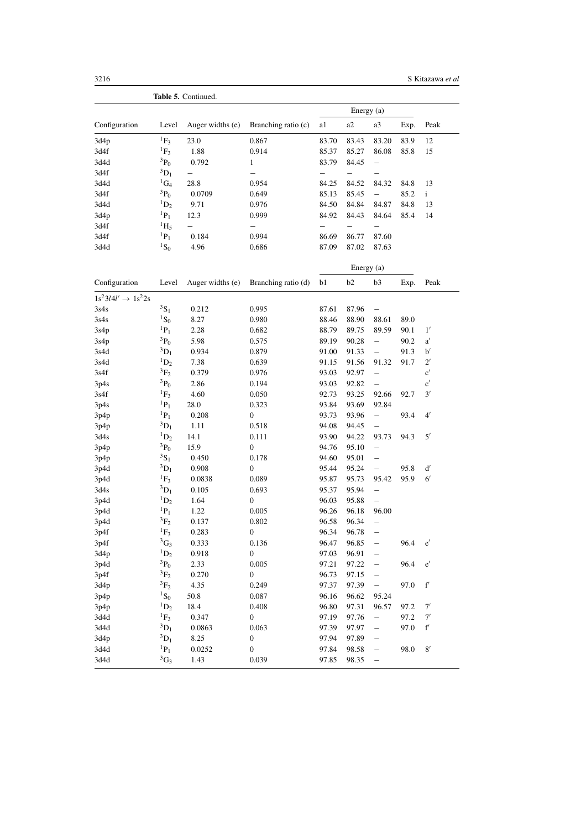|                                |                      | Table 5. Continued. |                     |       |            |                          |      |                     |
|--------------------------------|----------------------|---------------------|---------------------|-------|------------|--------------------------|------|---------------------|
|                                |                      |                     |                     |       |            |                          |      |                     |
| Configuration                  | Level                | Auger widths (e)    | Branching ratio (c) | a1    | a2         | a3                       | Exp. | Peak                |
| 3d4p                           | ${}^{1}F_3$          | 23.0                | 0.867               | 83.70 | 83.43      | 83.20                    | 83.9 | 12                  |
| 3d4f                           | ${}^{1}F_3$          | 1.88                | 0.914               | 85.37 | 85.27      | 86.08                    | 85.8 | 15                  |
| 3d4d                           | ${}^{3}P_0$          | 0.792               | $\mathbf{1}$        | 83.79 | 84.45      | $\overline{\phantom{0}}$ |      |                     |
| 3d4f                           | ${}^3D_1$            |                     | —                   | —     | —          |                          |      |                     |
| 3d4d                           | ${}^1\text{G}_4$     | 28.8                | 0.954               | 84.25 | 84.52      | 84.32                    | 84.8 | 13                  |
| 3d4f                           | $^{3}P_0$            | 0.0709              | 0.649               | 85.13 | 85.45      | $\qquad \qquad -$        | 85.2 | $\mathbf{i}$        |
| 3d4d                           | ${}^1D_2$            | 9.71                | 0.976               | 84.50 | 84.84      | 84.87                    | 84.8 | 13                  |
| 3d4p                           | ${}^{1}P_1$          | 12.3                | 0.999               | 84.92 | 84.43      | 84.64                    | 85.4 | 14                  |
| 3d4f                           | $\mathrm{^{1}H_{5}}$ |                     |                     |       |            |                          |      |                     |
| 3d4f                           | ${}^{1}P_1$          | 0.184               | 0.994               | 86.69 | 86.77      | 87.60                    |      |                     |
| 3d4d                           | ${}^{1}S_0$          | 4.96                | 0.686               | 87.09 | 87.02      | 87.63                    |      |                     |
|                                |                      |                     |                     |       | Energy (a) |                          |      |                     |
| Configuration                  | Level                | Auger widths (e)    | Branching ratio (d) | b1    | b2         | b <sub>3</sub>           | Exp. | Peak                |
| $1s^23l4l' \rightarrow 1s^22s$ |                      |                     |                     |       |            |                          |      |                     |
| 3s4s                           | $3S_1$               | 0.212               | 0.995               | 87.61 | 87.96      | $\overline{\phantom{0}}$ |      |                     |
| 3s4s                           | ${}^{1}S_0$          | 8.27                | 0.980               | 88.46 | 88.90      | 88.61                    | 89.0 |                     |
| 3s4p                           | ${}^{1}P_1$          | 2.28                | 0.682               | 88.79 | 89.75      | 89.59                    | 90.1 | 1'                  |
| 3s4p                           | ${}^3P_0$            | 5.98                | 0.575               | 89.19 | 90.28      | $\overline{\phantom{0}}$ | 90.2 | a'                  |
| 3s4d                           | ${}^3D_1$            | 0.934               | 0.879               | 91.00 | 91.33      | $\qquad \qquad -$        | 91.3 | b'                  |
| 3s4d                           | ${}^1D_2$            | 7.38                | 0.639               | 91.15 | 91.56      | 91.32                    | 91.7 | $2^{\prime}$        |
| 3s4f                           | ${}^3F_2$            | 0.379               | 0.976               | 93.03 | 92.97      | $\overline{\phantom{0}}$ |      | $\mathbf{c}'$       |
| 3p4s                           | ${}^3P_0$            | 2.86                | 0.194               | 93.03 | 92.82      | $\qquad \qquad -$        |      | $\mathbf{c}'$       |
| 3s4f                           | ${}^{1}F_3$          | 4.60                | 0.050               | 92.73 | 93.25      | 92.66                    | 92.7 | 3'                  |
| 3p4s                           | ${}^{1}P_1$          | 28.0                | 0.323               | 93.84 | 93.69      | 92.84                    |      |                     |
| 3p4p                           | ${}^{1}P_1$          | 0.208               | 0                   | 93.73 | 93.96      | $\qquad \qquad -$        | 93.4 | $4^{\prime}$        |
| 3p4p                           | ${}^3D_1$            | 1.11                | 0.518               | 94.08 | 94.45      | $\overline{\phantom{0}}$ |      |                     |
| 3d4s                           | $\mathrm{^{1}D_{2}}$ | 14.1                | 0.111               | 93.90 | 94.22      | 93.73                    | 94.3 | $5^{\prime}$        |
| 3p4p                           | $^{3}P_0$            | 15.9                | 0                   | 94.76 | 95.10      | $\overline{\phantom{0}}$ |      |                     |
| 3p4p                           | $3S_1$               | 0.450               | 0.178               | 94.60 | 95.01      | $\overline{\phantom{0}}$ |      |                     |
| 3p4d                           | ${}^3D_1$            | 0.908               | 0                   | 95.44 | 95.24      | $\qquad \qquad -$        | 95.8 | $\mathrm{d}^\prime$ |
| 3p4d                           | ${}^{1}F_3$          | 0.0838              | 0.089               | 95.87 | 95.73      | 95.42                    | 95.9 | $6^{\prime}$        |
| 3d4s                           | ${}^3D_1$            | 0.105               | 0.693               | 95.37 | 95.94      | $\qquad \qquad -$        |      |                     |
| 3p4d                           | ${}^1D_2$            | 1.64                | 0                   | 96.03 | 95.88      | $\qquad \qquad -$        |      |                     |
| 3p4d                           | ${}^{1}P_1$          | 1.22                | 0.005               | 96.26 | 96.18      | 96.00                    |      |                     |
| 3p4d                           | ${}^3F_2$            | 0.137               | 0.802               | 96.58 | 96.34      | $\qquad \qquad -$        |      |                     |
| 3p4f                           | $\mathrm{F}_3$       | 0.283               | 0                   | 96.34 | 96.78      |                          |      |                     |
| 3p4f                           | ${}^3G_3$            | 0.333               | 0.136               | 96.47 | 96.85      |                          | 96.4 | e'                  |
| 3d4p                           | ${}^1\mathrm{D}_2$   | 0.918               | 0                   | 97.03 | 96.91      |                          |      |                     |
| 3p4d                           | $^{3}P_0$            | 2.33                | 0.005               | 97.21 | 97.22      | —                        | 96.4 | e'                  |
| 3p4f                           | ${}^3F_2$            | 0.270               | 0                   | 96.73 | 97.15      | —                        |      |                     |
| 3d4p                           | ${}^3F_2$            | 4.35                | 0.249               | 97.37 | 97.39      | $\qquad \qquad -$        | 97.0 | $\mathbf{f}'$       |
| 3p4p                           | ${}^{1}S_{0}$        | 50.8                | 0.087               | 96.16 | 96.62      | 95.24                    |      |                     |
| 3p4p                           | $\mathrm{^{1}D_{2}}$ | 18.4                | 0.408               | 96.80 | 97.31      | 96.57                    | 97.2 | 7'                  |
| 3d4d                           | ${}^{1}F_3$          | 0.347               | $\boldsymbol{0}$    | 97.19 | 97.76      | $\overline{\phantom{0}}$ | 97.2 | 7'                  |
| 3d4d                           | ${}^3D_1$            | 0.0863              | 0.063               | 97.39 | 97.97      | —                        | 97.0 | $\mathbf{f}'$       |
| 3d4p                           | ${}^3D_1$            | 8.25                | $\boldsymbol{0}$    | 97.94 | 97.89      |                          |      |                     |
| 3d4d                           | ${}^{1}P_1$          | 0.0252              | 0                   | 97.84 | 98.58      | —                        | 98.0 | $8^\prime$          |
| 3d4d                           | ${}^3G_3$            | 1.43                | 0.039               | 97.85 | 98.35      | $\overline{\phantom{0}}$ |      |                     |
|                                |                      |                     |                     |       |            |                          |      |                     |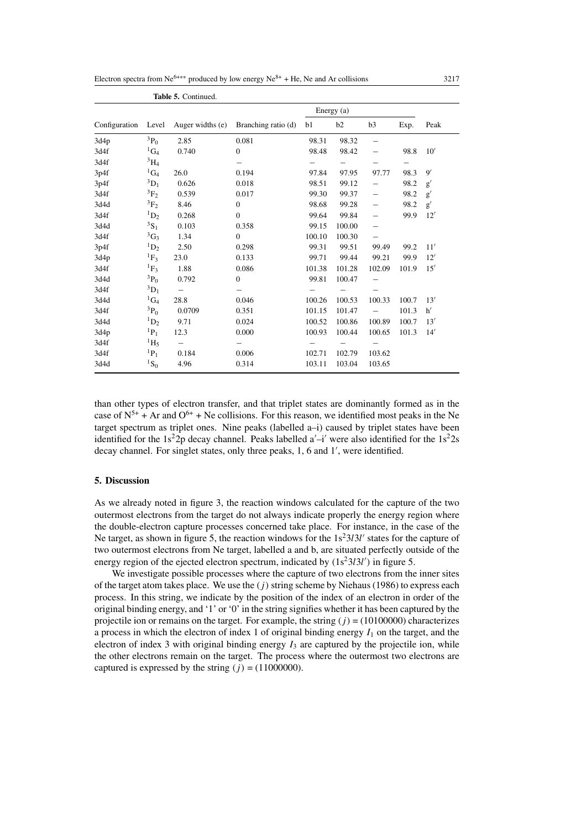| Electron spectra from $Ne^{6+\ast\ast}$ produced by low energy $Ne^{8+}$ + He. Ne and Ar collisions | 3217 |  |
|-----------------------------------------------------------------------------------------------------|------|--|
|-----------------------------------------------------------------------------------------------------|------|--|

|               |                      | Table 5. Continued. |                     |        |            |                   |       |               |
|---------------|----------------------|---------------------|---------------------|--------|------------|-------------------|-------|---------------|
|               |                      |                     |                     |        | Energy (a) |                   |       |               |
| Configuration | Level                | Auger widths (e)    | Branching ratio (d) | b1     | b2         | b3                | Exp.  | Peak          |
| 3d4p          | $^{3}P_{0}$          | 2.85                | 0.081               | 98.31  | 98.32      | $\qquad \qquad -$ |       |               |
| 3d4f          | ${}^1G_4$            | 0.740               | $\mathbf{0}$        | 98.48  | 98.42      | —                 | 98.8  | 10'           |
| 3d4f          | $^{3}H_{4}$          |                     |                     |        |            |                   | —     |               |
| 3p4f          | ${}^1\mathrm{G}_4$   | 26.0                | 0.194               | 97.84  | 97.95      | 97.77             | 98.3  | $\mathbf{Q}'$ |
| 3p4f          | $^{3}D_{1}$          | 0.626               | 0.018               | 98.51  | 99.12      |                   | 98.2  | g'            |
| 3d4f          | ${}^3F_2$            | 0.539               | 0.017               | 99.30  | 99.37      | —                 | 98.2  | g'            |
| 3d4d          | $\mathrm{^{3}F_{2}}$ | 8.46                | $\overline{0}$      | 98.68  | 99.28      | —                 | 98.2  | g'            |
| 3d4f          | ${}^{1}D_2$          | 0.268               | $\overline{0}$      | 99.64  | 99.84      | —                 | 99.9  | 12'           |
| 3d4d          | $^{3}S_{1}$          | 0.103               | 0.358               | 99.15  | 100.00     | $\qquad \qquad -$ |       |               |
| 3d4f          | ${}^3G_3$            | 1.34                | $\mathbf{0}$        | 100.10 | 100.30     | $\qquad \qquad -$ |       |               |
| 3p4f          | ${}^{1}D_2$          | 2.50                | 0.298               | 99.31  | 99.51      | 99.49             | 99.2  | 11'           |
| 3d4p          | ${}^{1}F_{3}$        | 23.0                | 0.133               | 99.71  | 99.44      | 99.21             | 99.9  | 12'           |
| 3d4f          | ${}^{1}F_3$          | 1.88                | 0.086               | 101.38 | 101.28     | 102.09            | 101.9 | 15'           |
| 3d4d          | $^{3}P_0$            | 0.792               | $\overline{0}$      | 99.81  | 100.47     |                   |       |               |
| 3d4f          | ${}^3D_1$            |                     |                     |        |            |                   |       |               |
| 3d4d          | ${}^1\mathrm{G}_4$   | 28.8                | 0.046               | 100.26 | 100.53     | 100.33            | 100.7 | 13'           |
| 3d4f          | $^{3}P_0$            | 0.0709              | 0.351               | 101.15 | 101.47     |                   | 101.3 | h'            |
| 3d4d          | $\mathrm{^{1}D_{2}}$ | 9.71                | 0.024               | 100.52 | 100.86     | 100.89            | 100.7 | 13'           |
| 3d4p          | ${}^{1}P_1$          | 12.3                | 0.000               | 100.93 | 100.44     | 100.65            | 101.3 | 14'           |
| 3d4f          | $\rm ^1H_5$          |                     |                     |        |            |                   |       |               |
| 3d4f          | ${}^{1}P_1$          | 0.184               | 0.006               | 102.71 | 102.79     | 103.62            |       |               |
| 3d4d          | ${}^{1}S_0$          | 4.96                | 0.314               | 103.11 | 103.04     | 103.65            |       |               |

than other types of electron transfer, and that triplet states are dominantly formed as in the case of  $N^{5+}$  + Ar and  $O^{6+}$  + Ne collisions. For this reason, we identified most peaks in the Ne target spectrum as triplet ones. Nine peaks (labelled a–i) caused by triplet states have been identified for the  $1s^22p$  decay channel. Peaks labelled  $a'-i'$  were also identified for the  $1s^22s$ decay channel. For singlet states, only three peaks, 1, 6 and 1', were identified.

# **5. Discussion**

As we already noted in figure 3, the reaction windows calculated for the capture of the two outermost electrons from the target do not always indicate properly the energy region where the double-electron capture processes concerned take place. For instance, in the case of the Ne target, as shown in figure 5, the reaction windows for the  $1s<sup>2</sup>3l3l'$  states for the capture of two outermost electrons from Ne target, labelled a and b, are situated perfectly outside of the energy region of the ejected electron spectrum, indicated by  $(1s<sup>2</sup>3l<sup>3</sup>l')$  in figure 5.

We investigate possible processes where the capture of two electrons from the inner sites of the target atom takes place. We use the  $(j)$  string scheme by Niehaus (1986) to express each process. In this string, we indicate by the position of the index of an electron in order of the original binding energy, and '1' or '0' in the string signifies whether it has been captured by the projectile ion or remains on the target. For example, the string  $(j) = (10100000)$  characterizes a process in which the electron of index 1 of original binding energy  $I_1$  on the target, and the electron of index 3 with original binding energy  $I_3$  are captured by the projectile ion, while the other electrons remain on the target. The process where the outermost two electrons are captured is expressed by the string  $(j) = (11000000)$ .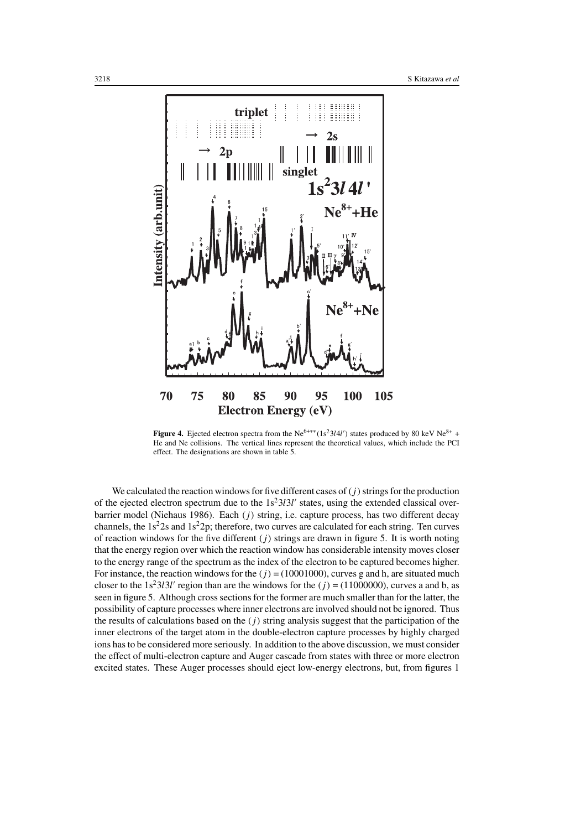

**Figure 4.** Ejected electron spectra from the Ne<sup>6+\*\*</sup> (1s<sup>2</sup>3l4l') states produced by 80 keV Ne<sup>8+</sup> + He and Ne collisions. The vertical lines represent the theoretical values, which include the PCI effect. The designations are shown in table 5.

We calculated the reaction windows for five different cases of  $(j)$  strings for the production of the ejected electron spectrum due to the  $1s^23l3l'$  states, using the extended classical overbarrier model (Niehaus 1986). Each  $(j)$  string, i.e. capture process, has two different decay channels, the  $1s<sup>2</sup>2s$  and  $1s<sup>2</sup>2p$ ; therefore, two curves are calculated for each string. Ten curves of reaction windows for the five different  $(j)$  strings are drawn in figure 5. It is worth noting that the energy region over which the reaction window has considerable intensity moves closer to the energy range of the spectrum as the index of the electron to be captured becomes higher. For instance, the reaction windows for the  $(j) = (10001000)$ , curves g and h, are situated much closer to the  $1s^23l^2$  region than are the windows for the  $(j) = (11000000)$ , curves a and b, as seen in figure 5. Although cross sections for the former are much smaller than for the latter, the possibility of capture processes where inner electrons are involved should not be ignored. Thus the results of calculations based on the  $(j)$  string analysis suggest that the participation of the inner electrons of the target atom in the double-electron capture processes by highly charged ions has to be considered more seriously. In addition to the above discussion, we must consider the effect of multi-electron capture and Auger cascade from states with three or more electron excited states. These Auger processes should eject low-energy electrons, but, from figures 1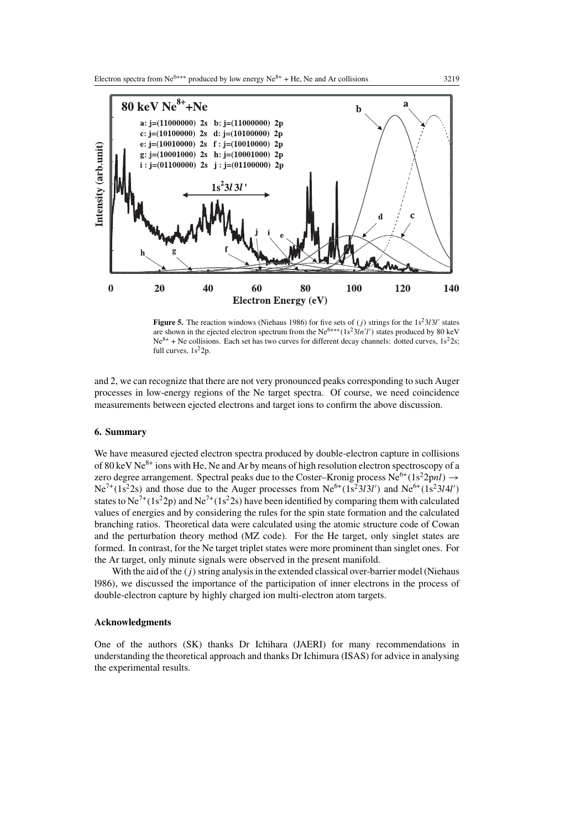

**Figure 5.** The reaction windows (Niehaus 1986) for five sets of  $(j)$  strings for the  $1s^23l3l'$  states are shown in the ejected electron spectrum from the Ne<sup>6+\*\*</sup>(1s<sup>2</sup>3ln'l') states produced by 80 keV  $Ne^{8+}$  + Ne collisions. Each set has two curves for different decay channels: dotted curves,  $1s^22s$ ; full curves,  $1s^22p$ .

and 2, we can recognize that there are not very pronounced peaks corresponding to such Auger processes in low-energy regions of the Ne target spectra. Of course, we need coincidence measurements between ejected electrons and target ions to confirm the above discussion.

## **6. Summary**

We have measured ejected electron spectra produced by double-electron capture in collisions of 80 keV  $Ne^{8+}$  ions with He, Ne and Ar by means of high resolution electron spectroscopy of a zero degree arrangement. Spectral peaks due to the Coster–Kronig process  $Ne^{6+}(1s^22pnl) \rightarrow$  $Ne^{7+}(1s^22s)$  and those due to the Auger processes from  $Ne^{6+}(1s^23l3l')$  and  $Ne^{6+}(1s^23l4l')$ states to  $Ne^{7+}(1s^2p)$  and  $Ne^{7+}(1s^22s)$  have been identified by comparing them with calculated values of energies and by considering the rules for the spin state formation and the calculated branching ratios. Theoretical data were calculated using the atomic structure code of Cowan and the perturbation theory method (MZ code). For the He target, only singlet states are formed. In contrast, for the Ne target triplet states were more prominent than singlet ones. For the Ar target, only minute signals were observed in the present manifold.

With the aid of the  $(j)$  string analysis in the extended classical over-barrier model (Niehaus l986), we discussed the importance of the participation of inner electrons in the process of double-electron capture by highly charged ion multi-electron atom targets.

#### **Acknowledgments**

One of the authors (SK) thanks Dr Ichihara (JAERI) for many recommendations in understanding the theoretical approach and thanks Dr Ichimura (ISAS) for advice in analysing the experimental results.